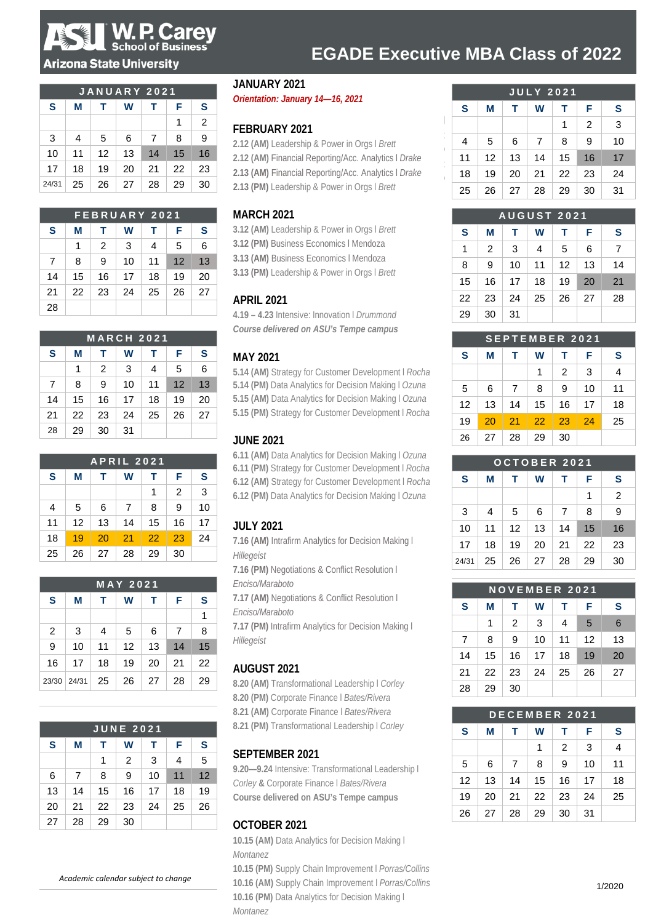

### **Arizona State University**

|       | <b>JANUARY 2021</b> |    |    |                |    |                |  |  |  |  |
|-------|---------------------|----|----|----------------|----|----------------|--|--|--|--|
| S     | F                   | s  |    |                |    |                |  |  |  |  |
|       |                     |    |    |                | 1  | $\overline{2}$ |  |  |  |  |
| 3     | 4                   | 5  | 6  | $\overline{7}$ | 8  | 9              |  |  |  |  |
| 10    | 11                  | 12 | 13 | 14             | 15 | 16             |  |  |  |  |
| 17    | 18                  | 19 | 20 | 21             | 22 | 23             |  |  |  |  |
| 24/31 | 25                  | 26 | 27 | 28             | 29 | 30             |  |  |  |  |

| <b>FEBRUARY 2021</b> |    |    |    |    |    |    |  |  |  |
|----------------------|----|----|----|----|----|----|--|--|--|
| S                    | М  | F  | s  |    |    |    |  |  |  |
|                      | 1  | 2  | 3  | 4  | 5  | 6  |  |  |  |
| 7                    | 8  | 9  | 10 | 11 | 12 | 13 |  |  |  |
| 14                   | 15 | 16 | 17 | 18 | 19 | 20 |  |  |  |
| 21                   | 22 | 23 | 24 | 25 | 26 | 27 |  |  |  |
| 28                   |    |    |    |    |    |    |  |  |  |

| <b>MARCH 2021</b>               |    |                |    |    |    |    |  |  |  |
|---------------------------------|----|----------------|----|----|----|----|--|--|--|
| S<br>S<br>F<br>W<br>М<br>т<br>т |    |                |    |    |    |    |  |  |  |
|                                 | 1  | $\overline{2}$ | 3  | 4  | 5  | 6  |  |  |  |
| 7                               | 8  | 9              | 10 | 11 | 12 | 13 |  |  |  |
| 14                              | 15 | 16             | 17 | 18 | 19 | 20 |  |  |  |
| 21                              | 22 | 23             | 24 | 25 | 26 | 27 |  |  |  |
| 28                              | 29 | 30             | 31 |    |    |    |  |  |  |

|    | <b>APRIL 2021</b> |    |    |    |                |    |  |  |  |  |  |
|----|-------------------|----|----|----|----------------|----|--|--|--|--|--|
| S  | М                 | F  | S  |    |                |    |  |  |  |  |  |
|    |                   |    |    | 1  | $\overline{2}$ | 3  |  |  |  |  |  |
| 4  | 5                 | 6  | 7  | 8  | 9              | 10 |  |  |  |  |  |
| 11 | 12                | 13 | 14 | 15 | 16             | 17 |  |  |  |  |  |
| 18 | 19                | 20 | 21 | 22 | 23             | 24 |  |  |  |  |  |
| 25 | 26                | 27 | 28 | 29 | 30             |    |  |  |  |  |  |

| <b>MAY 2021</b> |    |             |    |    |    |    |  |  |  |
|-----------------|----|-------------|----|----|----|----|--|--|--|
| S               | М  | W<br>т<br>т |    |    |    |    |  |  |  |
|                 |    |             |    |    |    | 1  |  |  |  |
| 2               | 3  | 4           | 5  | 6  | 7  | 8  |  |  |  |
| 9               | 10 | 11          | 12 | 13 | 14 | 15 |  |  |  |
| 16              | 17 | 18          | 19 | 20 | 21 | 22 |  |  |  |
| 23/30 24/31     |    | 25          | 26 | 27 | 28 | 29 |  |  |  |

|    | <b>JUNE 2021</b> |    |    |    |    |    |  |  |  |  |  |
|----|------------------|----|----|----|----|----|--|--|--|--|--|
| S  | М                | F  | S  |    |    |    |  |  |  |  |  |
|    |                  | 1  | 2  | 3  | 4  | 5  |  |  |  |  |  |
| 6  | 7                | 8  | 9  | 10 | 11 | 12 |  |  |  |  |  |
| 13 | 14               | 15 | 16 | 17 | 18 | 19 |  |  |  |  |  |
| 20 | 21               | 22 | 23 | 24 | 25 | 26 |  |  |  |  |  |
| 27 | 28               | 29 | 30 |    |    |    |  |  |  |  |  |

*Academic calendar subject to change*

### **JANUARY 2021**

*Orientation: January 14—16, 2021*

### **FEBRUARY 2021**

**2.12 (AM)** Leadership & Power in Orgs l *Brett* **2.12 (AM)** Financial Reporting/Acc. Analytics l *Drake* **2.13 (AM)** Financial Reporting/Acc. Analytics l *Drake* **2.13 (PM)** Leadership & Power in Orgs l *Brett*

### **MARCH 2021**

**3.12 (AM)** Leadership & Power in Orgs l *Brett* **3.12 (PM)** Business Economics l Mendoza **3.13 (AM)** Business Economics l Mendoza

**3.13 (PM)** Leadership & Power in Orgs l *Brett*

### **APRIL 2021**

**4.19 – 4.23** Intensive: Innovation l *Drummond Course delivered on ASU's Tempe campus*

### **MAY 2021**

**5.14 (AM)** Strategy for Customer Development l *Rocha* **5.14 (PM)** Data Analytics for Decision Making l *Ozuna* **5.15 (AM)** Data Analytics for Decision Making l *Ozuna* **5.15 (PM)** Strategy for Customer Development l *Rocha*

### **JUNE 2021**

**6.11 (AM)** Data Analytics for Decision Making l *Ozuna* **6.11 (PM)** Strategy for Customer Development l *Rocha* **6.12 (AM)** Strategy for Customer Development l *Rocha* **6.12 (PM)** Data Analytics for Decision Making l *Ozuna*

## **JULY 2021**

**7.16 (AM)** Intrafirm Analytics for Decision Making l *Hillegeist*

**7.16 (PM)** Negotiations & Conflict Resolution l *Enciso/Maraboto*

**7.17 (AM)** Negotiations & Conflict Resolution l *Enciso/Maraboto*

**7.17 (PM)** Intrafirm Analytics for Decision Making l *Hillegeist*

### **AUGUST 2021**

**8.20 (AM)** Transformational Leadership l *Corley* **8.20 (PM)** Corporate Finance l *Bates/Rivera* **8.21 (AM)** Corporate Finance l *Bates/Rivera*

**8.21 (PM)** Transformational Leadership l *Corley*

### **SEPTEMBER 2021**

**9.20—9.24** Intensive: Transformational Leadership l *Corley* **&** Corporate Finance l *Bates/Rivera* **Course delivered on ASU's Tempe campus**

## **OCTOBER 2021**

**10.15 (AM)** Data Analytics for Decision Making l *Montanez*

**10.15 (PM)** Supply Chain Improvement l *Porras/Collins* **10.16 (AM)** Supply Chain Improvement l *Porras/Collins* **10.16 (PM)** Data Analytics for Decision Making l *Montanez*

| <b>JULY 2021</b> |    |    |    |    |    |    |  |  |  |  |
|------------------|----|----|----|----|----|----|--|--|--|--|
| S                | М  | т  | W  | т  | F  | S  |  |  |  |  |
|                  |    |    |    | 1  | 2  | 3  |  |  |  |  |
| 4                | 5  | 6  | 7  | 8  | 9  | 10 |  |  |  |  |
| 11               | 12 | 13 | 14 | 15 | 16 | 17 |  |  |  |  |
| 18               | 19 | 20 | 21 | 22 | 23 | 24 |  |  |  |  |
| 25               | 26 | 27 | 28 | 29 | 30 | 31 |  |  |  |  |

**EGADE Executive MBA Class of 2022** 

| <b>AUGUST 2021</b> |                |    |    |    |    |    |  |  |  |  |
|--------------------|----------------|----|----|----|----|----|--|--|--|--|
| S                  | М              | т  | W  | т  | F  | S  |  |  |  |  |
| 1                  | $\overline{2}$ | 3  | 4  | 5  | 6  | 7  |  |  |  |  |
| 8                  | 9              | 10 | 11 | 12 | 13 | 14 |  |  |  |  |
| 15                 | 16             | 17 | 18 | 19 | 20 | 21 |  |  |  |  |
| 22                 | 23             | 24 | 25 | 26 | 27 | 28 |  |  |  |  |
| 29                 | 30             | 31 |    |    |    |    |  |  |  |  |

| <b>SEPTEMBER 2021</b> |    |    |    |    |    |    |  |  |  |
|-----------------------|----|----|----|----|----|----|--|--|--|
| S                     | М  | т  | W  | т  | F  | S  |  |  |  |
|                       |    |    | 1  | 2  | 3  | 4  |  |  |  |
| 5                     | 6  | 7  | 8  | 9  | 10 | 11 |  |  |  |
| 12                    | 13 | 14 | 15 | 16 | 17 | 18 |  |  |  |
| 19                    | 20 | 21 | 22 | 23 | 24 | 25 |  |  |  |
| 26                    | 27 | 28 | 29 | 30 |    |    |  |  |  |

| OCTOBER 2021 |    |    |    |                |    |    |  |  |  |
|--------------|----|----|----|----------------|----|----|--|--|--|
| S            | М  | т  | W  | т              | F  | S  |  |  |  |
|              |    |    |    |                | 1  | 2  |  |  |  |
| 3            | 4  | 5  | 6  | $\overline{7}$ | 8  | 9  |  |  |  |
| 10           | 11 | 12 | 13 | 14             | 15 | 16 |  |  |  |
| 17           | 18 | 19 | 20 | 21             | 22 | 23 |  |  |  |
| 24/31        | 25 | 26 | 27 | 28             | 29 | 30 |  |  |  |

| NOVEMBER 2021  |    |    |    |    |                 |    |  |  |  |
|----------------|----|----|----|----|-----------------|----|--|--|--|
| S              | М  | т  | W  | т  | F               | S  |  |  |  |
|                | 1  | 2  | 3  | 4  | $5\overline{5}$ | 6  |  |  |  |
| $\overline{7}$ | 8  | 9  | 10 | 11 | 12              | 13 |  |  |  |
| 14             | 15 | 16 | 17 | 18 | 19              | 20 |  |  |  |
| 21             | 22 | 23 | 24 | 25 | 26              | 27 |  |  |  |
| 28             | 29 | 30 |    |    |                 |    |  |  |  |

| DECEMBER 2021 |    |    |    |    |    |    |  |  |  |
|---------------|----|----|----|----|----|----|--|--|--|
| S             | М  | т  | W  | т  | F  | S  |  |  |  |
|               |    |    | 1  | 2  | 3  | 4  |  |  |  |
| 5             | 6  | 7  | 8  | 9  | 10 | 11 |  |  |  |
| 12            | 13 | 14 | 15 | 16 | 17 | 18 |  |  |  |
| 19            | 20 | 21 | 22 | 23 | 24 | 25 |  |  |  |
| 26            | 27 | 28 | 29 | 30 | 31 |    |  |  |  |